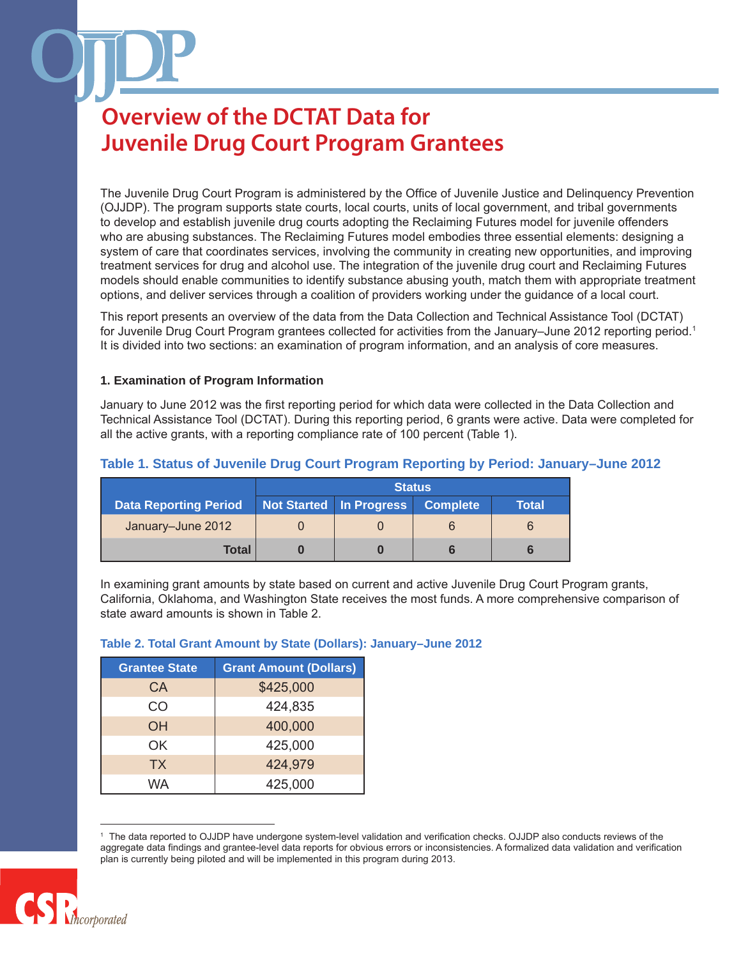The Juvenile Drug Court Program is administered by the Office of Juvenile Justice and Delinquency Prevention (OJJDP). The program supports state courts, local courts, units of local government, and tribal governments to develop and establish juvenile drug courts adopting the Reclaiming Futures model for juvenile offenders who are abusing substances. The Reclaiming Futures model embodies three essential elements: designing a system of care that coordinates services, involving the community in creating new opportunities, and improving treatment services for drug and alcohol use. The integration of the juvenile drug court and Reclaiming Futures models should enable communities to identify substance abusing youth, match them with appropriate treatment options, and deliver services through a coalition of providers working under the guidance of a local court.

This report presents an overview of the data from the Data Collection and Technical Assistance Tool (DCTAT) for Juvenile Drug Court Program grantees collected for activities from the January–June 2012 reporting period.<sup>1</sup> It is divided into two sections: an examination of program information, and an analysis of core measures.

### **1. Examination of Program Information**

January to June 2012 was the first reporting period for which data were collected in the Data Collection and Technical Assistance Tool (DCTAT). During this reporting period, 6 grants were active. Data were completed for all the active grants, with a reporting compliance rate of 100 percent (Table 1).

|                              | <b>Status</b> |                         |                 |       |
|------------------------------|---------------|-------------------------|-----------------|-------|
| <b>Data Reporting Period</b> |               | Not Started In Progress | <b>Complete</b> | Total |
| January-June 2012            |               |                         |                 | 6     |
| Total                        |               |                         |                 |       |

### **Table 1. Status of Juvenile Drug Court Program Reporting by Period: January–June 2012**

In examining grant amounts by state based on current and active Juvenile Drug Court Program grants, California, Oklahoma, and Washington State receives the most funds. A more comprehensive comparison of state award amounts is shown in Table 2.

#### **Table 2. Total Grant Amount by State (Dollars): January–June 2012**

| <b>Grantee State</b> | <b>Grant Amount (Dollars)</b> |
|----------------------|-------------------------------|
| CA                   | \$425,000                     |
| CO                   | 424,835                       |
| OH                   | 400,000                       |
| OK.                  | 425,000                       |
| <b>TX</b>            | 424,979                       |
| WA                   | 425,000                       |

<sup>1</sup> The data reported to OJJDP have undergone system-level validation and verification checks. OJJDP also conducts reviews of the aggregate data findings and grantee-level data reports for obvious errors or inconsistencies. A formalized data validation and verification plan is currently being piloted and will be implemented in this program during 2013.

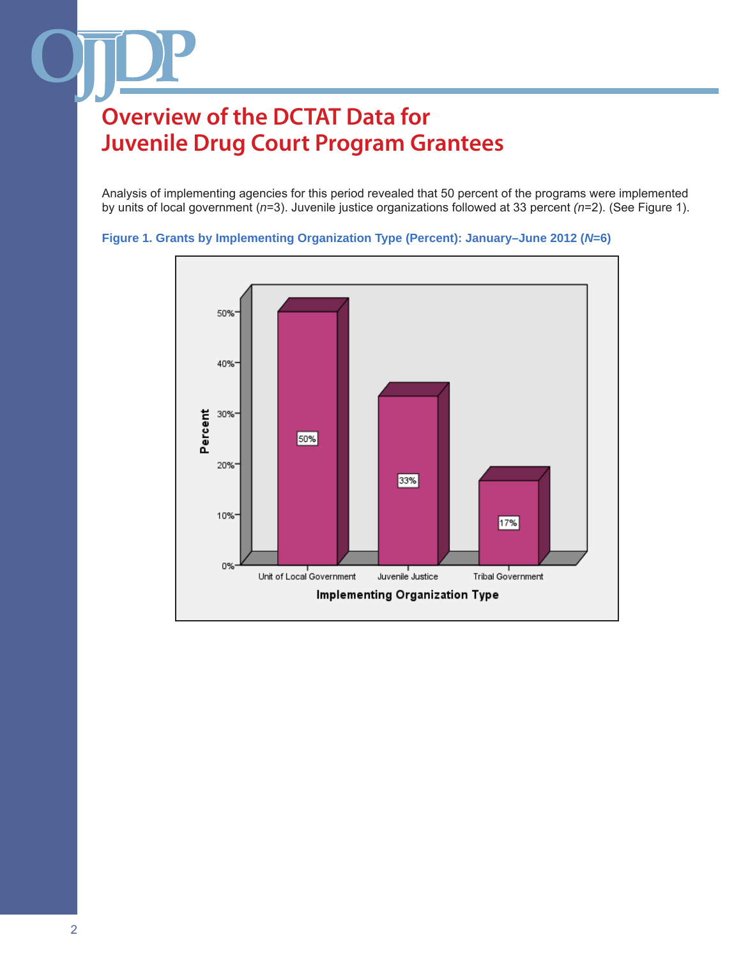Analysis of implementing agencies for this period revealed that 50 percent of the programs were implemented by units of local government (*n*=3). Juvenile justice organizations followed at 33 percent *(n*=2). (See Figure 1).



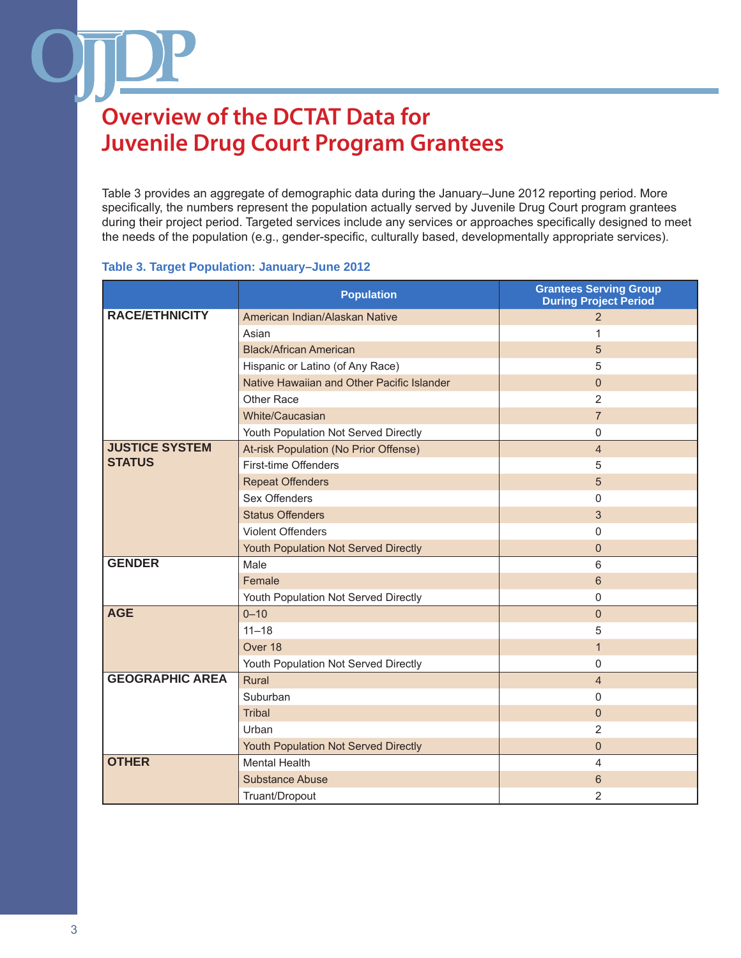Table 3 provides an aggregate of demographic data during the January–June 2012 reporting period. More specifically, the numbers represent the population actually served by Juvenile Drug Court program grantees during their project period. Targeted services include any services or approaches specifically designed to meet the needs of the population (e.g., gender-specific, culturally based, developmentally appropriate services).

#### **Table 3. Target Population: January–June 2012**

|                        | <b>Population</b>                          | <b>Grantees Serving Group</b><br><b>During Project Period</b> |
|------------------------|--------------------------------------------|---------------------------------------------------------------|
| <b>RACE/ETHNICITY</b>  | American Indian/Alaskan Native             | 2                                                             |
|                        | Asian                                      | 1                                                             |
|                        | <b>Black/African American</b>              | 5                                                             |
|                        | Hispanic or Latino (of Any Race)           | 5                                                             |
|                        | Native Hawaiian and Other Pacific Islander | $\mathbf{0}$                                                  |
|                        | Other Race                                 | 2                                                             |
|                        | White/Caucasian                            | $\overline{7}$                                                |
|                        | Youth Population Not Served Directly       | 0                                                             |
| <b>JUSTICE SYSTEM</b>  | At-risk Population (No Prior Offense)      | $\overline{4}$                                                |
| <b>STATUS</b>          | First-time Offenders                       | 5                                                             |
|                        | <b>Repeat Offenders</b>                    | 5                                                             |
|                        | Sex Offenders                              | $\mathbf{0}$                                                  |
|                        | <b>Status Offenders</b>                    | 3                                                             |
|                        | <b>Violent Offenders</b>                   | $\mathbf{0}$                                                  |
|                        | Youth Population Not Served Directly       | $\mathbf 0$                                                   |
| <b>GENDER</b>          | Male                                       | $6\phantom{1}6$                                               |
|                        | Female                                     | 6                                                             |
|                        | Youth Population Not Served Directly       | $\Omega$                                                      |
| <b>AGE</b>             | $0 - 10$                                   | $\mathbf{0}$                                                  |
|                        | $11 - 18$                                  | 5                                                             |
|                        | Over 18                                    | $\mathbf{1}$                                                  |
|                        | Youth Population Not Served Directly       | $\mathbf 0$                                                   |
| <b>GEOGRAPHIC AREA</b> | Rural                                      | $\overline{4}$                                                |
|                        | Suburban                                   | 0                                                             |
|                        | <b>Tribal</b>                              | $\Omega$                                                      |
|                        | Urban                                      | 2                                                             |
|                        | Youth Population Not Served Directly       | $\mathbf 0$                                                   |
| <b>OTHER</b>           | <b>Mental Health</b>                       | 4                                                             |
|                        | <b>Substance Abuse</b>                     | 6                                                             |
|                        | Truant/Dropout                             | 2                                                             |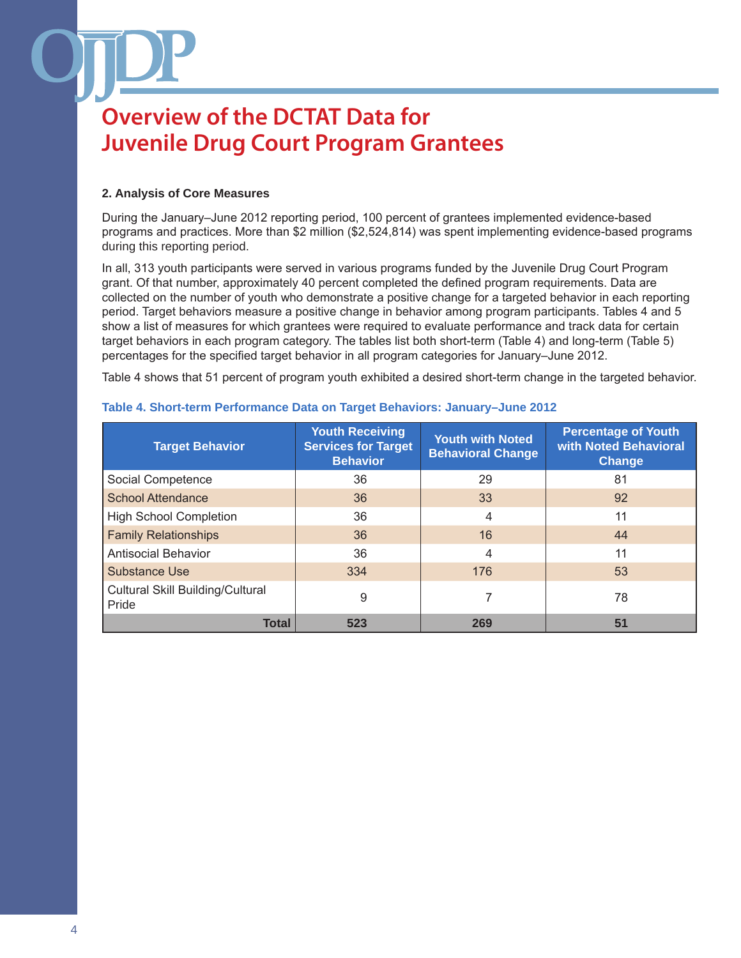### **2. Analysis of Core Measures**

During the January–June 2012 reporting period, 100 percent of grantees implemented evidence-based programs and practices. More than \$2 million (\$2,524,814) was spent implementing evidence-based programs during this reporting period.

In all, 313 youth participants were served in various programs funded by the Juvenile Drug Court Program grant. Of that number, approximately 40 percent completed the defined program requirements. Data are collected on the number of youth who demonstrate a positive change for a targeted behavior in each reporting period. Target behaviors measure a positive change in behavior among program participants. Tables 4 and 5 show a list of measures for which grantees were required to evaluate performance and track data for certain target behaviors in each program category. The tables list both short-term (Table 4) and long-term (Table 5) percentages for the specified target behavior in all program categories for January–June 2012.

Table 4 shows that 51 percent of program youth exhibited a desired short-term change in the targeted behavior.

| <b>Target Behavior</b>                           | <b>Youth Receiving</b><br><b>Services for Target</b><br><b>Behavior</b> | <b>Youth with Noted</b><br><b>Behavioral Change</b> | <b>Percentage of Youth</b><br>with Noted Behavioral<br><b>Change</b> |
|--------------------------------------------------|-------------------------------------------------------------------------|-----------------------------------------------------|----------------------------------------------------------------------|
| Social Competence                                | 36                                                                      | 29                                                  | 81                                                                   |
| <b>School Attendance</b>                         | 36                                                                      | 33                                                  | 92                                                                   |
| <b>High School Completion</b>                    | 36                                                                      | 4                                                   | 11                                                                   |
| <b>Family Relationships</b>                      | 36                                                                      | 16                                                  | 44                                                                   |
| <b>Antisocial Behavior</b>                       | 36                                                                      | 4                                                   | 11                                                                   |
| <b>Substance Use</b>                             | 334                                                                     | 176                                                 | 53                                                                   |
| <b>Cultural Skill Building/Cultural</b><br>Pride | 9                                                                       |                                                     | 78                                                                   |
| <b>Total</b>                                     | 523                                                                     | 269                                                 | 51                                                                   |

### **Table 4. Short-term Performance Data on Target Behaviors: January–June 2012**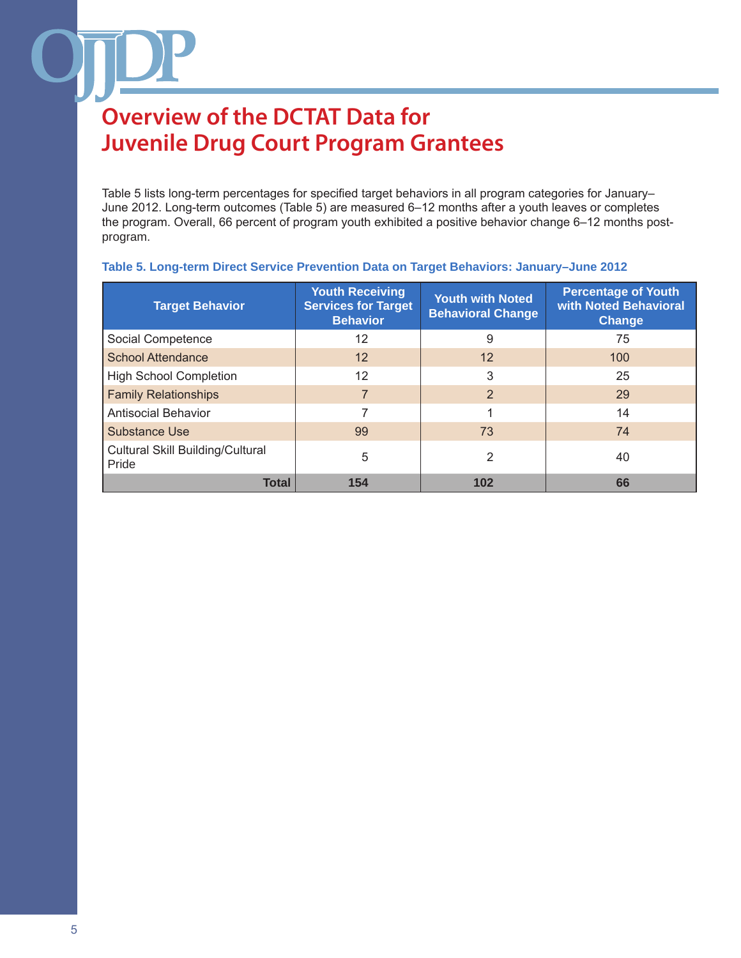Table 5 lists long-term percentages for specified target behaviors in all program categories for January– June 2012. Long-term outcomes (Table 5) are measured 6–12 months after a youth leaves or completes the program. Overall, 66 percent of program youth exhibited a positive behavior change 6–12 months postprogram.

| <b>Target Behavior</b>                           | <b>Youth Receiving</b><br><b>Services for Target</b><br><b>Behavior</b> | <b>Youth with Noted</b><br><b>Behavioral Change</b> | <b>Percentage of Youth</b><br>with Noted Behavioral<br><b>Change</b> |
|--------------------------------------------------|-------------------------------------------------------------------------|-----------------------------------------------------|----------------------------------------------------------------------|
| Social Competence                                | 12                                                                      | 9                                                   | 75                                                                   |
| <b>School Attendance</b>                         | 12                                                                      | 12                                                  | 100                                                                  |
| <b>High School Completion</b>                    | 12                                                                      | 3                                                   | 25                                                                   |
| <b>Family Relationships</b>                      | 7                                                                       | 2                                                   | 29                                                                   |
| <b>Antisocial Behavior</b>                       | ⇁                                                                       |                                                     | 14                                                                   |
| <b>Substance Use</b>                             | 99                                                                      | 73                                                  | 74                                                                   |
| <b>Cultural Skill Building/Cultural</b><br>Pride | 5                                                                       | 2                                                   | 40                                                                   |
| <b>Total</b>                                     | 154                                                                     | 102                                                 | 66                                                                   |

#### **Table 5. Long-term Direct Service Prevention Data on Target Behaviors: January–June 2012**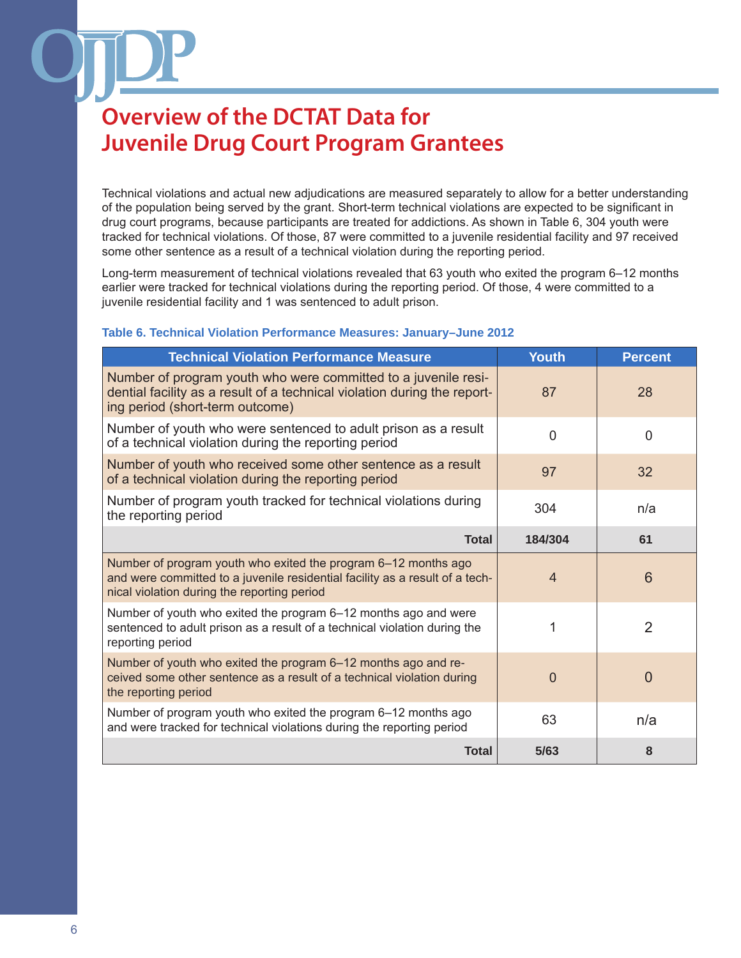Technical violations and actual new adjudications are measured separately to allow for a better understanding of the population being served by the grant. Short-term technical violations are expected to be significant in drug court programs, because participants are treated for addictions. As shown in Table 6, 304 youth were tracked for technical violations. Of those, 87 were committed to a juvenile residential facility and 97 received some other sentence as a result of a technical violation during the reporting period.

Long-term measurement of technical violations revealed that 63 youth who exited the program 6–12 months earlier were tracked for technical violations during the reporting period. Of those, 4 were committed to a juvenile residential facility and 1 was sentenced to adult prison.

### **Table 6. Technical Violation Performance Measures: January–June 2012**

| <b>Technical Violation Performance Measure</b>                                                                                                                                                | <b>Youth</b>   | <b>Percent</b>  |
|-----------------------------------------------------------------------------------------------------------------------------------------------------------------------------------------------|----------------|-----------------|
| Number of program youth who were committed to a juvenile resi-<br>dential facility as a result of a technical violation during the report-<br>ing period (short-term outcome)                 | 87             | 28              |
| Number of youth who were sentenced to adult prison as a result<br>of a technical violation during the reporting period                                                                        | $\overline{0}$ | $\overline{0}$  |
| Number of youth who received some other sentence as a result<br>of a technical violation during the reporting period                                                                          | 97             | 32              |
| Number of program youth tracked for technical violations during<br>the reporting period                                                                                                       | 304            | n/a             |
| <b>Total</b>                                                                                                                                                                                  | 184/304        | 61              |
| Number of program youth who exited the program 6-12 months ago<br>and were committed to a juvenile residential facility as a result of a tech-<br>nical violation during the reporting period | $\overline{4}$ | $6\phantom{1}6$ |
| Number of youth who exited the program 6–12 months ago and were<br>sentenced to adult prison as a result of a technical violation during the<br>reporting period                              | 1              | $\overline{2}$  |
| Number of youth who exited the program 6-12 months ago and re-<br>ceived some other sentence as a result of a technical violation during<br>the reporting period                              | $\overline{0}$ | $\overline{0}$  |
| Number of program youth who exited the program 6–12 months ago<br>and were tracked for technical violations during the reporting period                                                       | 63             | n/a             |
| <b>Total</b>                                                                                                                                                                                  | 5/63           | 8               |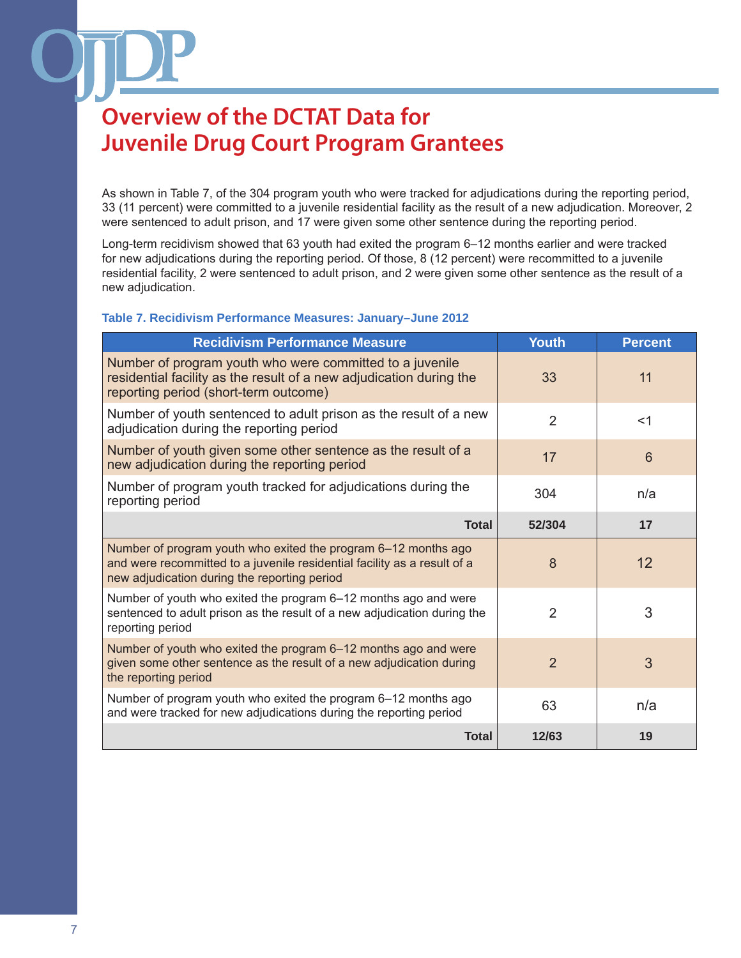As shown in Table 7, of the 304 program youth who were tracked for adjudications during the reporting period, 33 (11 percent) were committed to a juvenile residential facility as the result of a new adjudication. Moreover, 2 were sentenced to adult prison, and 17 were given some other sentence during the reporting period.

Long-term recidivism showed that 63 youth had exited the program 6–12 months earlier and were tracked for new adjudications during the reporting period. Of those, 8 (12 percent) were recommitted to a juvenile residential facility, 2 were sentenced to adult prison, and 2 were given some other sentence as the result of a new adjudication.

### **Table 7. Recidivism Performance Measures: January–June 2012**

| <b>Recidivism Performance Measure</b>                                                                                                                                                      | <b>Youth</b>   | <b>Percent</b>  |
|--------------------------------------------------------------------------------------------------------------------------------------------------------------------------------------------|----------------|-----------------|
| Number of program youth who were committed to a juvenile<br>residential facility as the result of a new adjudication during the<br>reporting period (short-term outcome)                   | 33             | 11              |
| Number of youth sentenced to adult prison as the result of a new<br>adjudication during the reporting period                                                                               | $\overline{2}$ | $<$ 1           |
| Number of youth given some other sentence as the result of a<br>new adjudication during the reporting period                                                                               | 17             | $6\phantom{1}6$ |
| Number of program youth tracked for adjudications during the<br>reporting period                                                                                                           | 304            | n/a             |
| <b>Total</b>                                                                                                                                                                               | 52/304         | 17              |
| Number of program youth who exited the program 6-12 months ago<br>and were recommitted to a juvenile residential facility as a result of a<br>new adjudication during the reporting period | 8              | 12              |
| Number of youth who exited the program 6-12 months ago and were<br>sentenced to adult prison as the result of a new adjudication during the<br>reporting period                            | $\overline{2}$ | 3               |
| Number of youth who exited the program 6-12 months ago and were<br>given some other sentence as the result of a new adjudication during<br>the reporting period                            | $\overline{2}$ | 3               |
| Number of program youth who exited the program 6-12 months ago<br>and were tracked for new adjudications during the reporting period                                                       | 63             | n/a             |
| <b>Total</b>                                                                                                                                                                               | 12/63          | 19              |